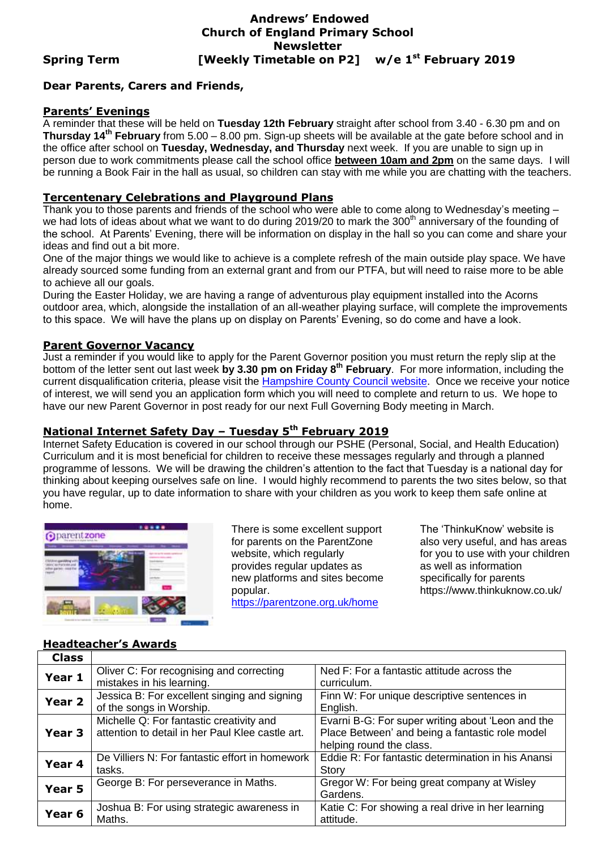### **Andrews' Endowed Church of England Primary School Newsletter Spring Term [Weekly Timetable on P2] w/e 1 st February 2019**

# **Dear Parents, Carers and Friends,**

#### **Parents' Evenings**

A reminder that these will be held on **Tuesday 12th February** straight after school from 3.40 - 6.30 pm and on **Thursday 14th February** from 5.00 – 8.00 pm. Sign-up sheets will be available at the gate before school and in the office after school on **Tuesday, Wednesday, and Thursday** next week. If you are unable to sign up in person due to work commitments please call the school office **between 10am and 2pm** on the same days. I will be running a Book Fair in the hall as usual, so children can stay with me while you are chatting with the teachers.

#### **Tercentenary Celebrations and Playground Plans**

Thank you to those parents and friends of the school who were able to come along to Wednesday's meeting – we had lots of ideas about what we want to do during 2019/20 to mark the 300<sup>th</sup> anniversary of the founding of the school. At Parents' Evening, there will be information on display in the hall so you can come and share your ideas and find out a bit more.

One of the major things we would like to achieve is a complete refresh of the main outside play space. We have already sourced some funding from an external grant and from our PTFA, but will need to raise more to be able to achieve all our goals.

During the Easter Holiday, we are having a range of adventurous play equipment installed into the Acorns outdoor area, which, alongside the installation of an all-weather playing surface, will complete the improvements to this space. We will have the plans up on display on Parents' Evening, so do come and have a look.

#### **Parent Governor Vacancy**

Just a reminder if you would like to apply for the Parent Governor position you must return the reply slip at the bottom of the letter sent out last week **by 3.30 pm on Friday 8th February**. For more information, including the current disqualification criteria, please visit the [Hampshire County Council website.](http://www3.hants.gov.uk/education/governors/gov-volunteer.htm) Once we receive your notice of interest, we will send you an application form which you will need to complete and return to us. We hope to have our new Parent Governor in post ready for our next Full Governing Body meeting in March.

# **National Internet Safety Day – Tuesday 5th February 2019**

Internet Safety Education is covered in our school through our PSHE (Personal, Social, and Health Education) Curriculum and it is most beneficial for children to receive these messages regularly and through a planned programme of lessons. We will be drawing the children's attention to the fact that Tuesday is a national day for thinking about keeping ourselves safe on line. I would highly recommend to parents the two sites below, so that you have regular, up to date information to share with your children as you work to keep them safe online at home.



There is some excellent support for parents on the ParentZone website, which regularly provides regular updates as new platforms and sites become popular. <https://parentzone.org.uk/home>

The 'ThinkuKnow' website is also very useful, and has areas for you to use with your children as well as information specifically for parents https://www.thinkuknow.co.uk/

#### **Headteacher's Awards**

| <b>Class</b> |                                                  |                                                    |  |  |
|--------------|--------------------------------------------------|----------------------------------------------------|--|--|
| Year 1       | Oliver C: For recognising and correcting         | Ned F: For a fantastic attitude across the         |  |  |
|              | mistakes in his learning.                        | curriculum.                                        |  |  |
| Year 2       | Jessica B: For excellent singing and signing     | Finn W: For unique descriptive sentences in        |  |  |
|              | of the songs in Worship.                         | English.                                           |  |  |
| Year 3       | Michelle Q: For fantastic creativity and         | Evarni B-G: For super writing about 'Leon and the  |  |  |
|              | attention to detail in her Paul Klee castle art. | Place Between' and being a fantastic role model    |  |  |
|              |                                                  | helping round the class.                           |  |  |
| Year 4       | De Villiers N: For fantastic effort in homework  | Eddie R: For fantastic determination in his Anansi |  |  |
|              | tasks.                                           | Story                                              |  |  |
| Year 5       | George B: For perseverance in Maths.             | Gregor W: For being great company at Wisley        |  |  |
|              |                                                  | Gardens.                                           |  |  |
| Year 6       | Joshua B: For using strategic awareness in       | Katie C: For showing a real drive in her learning  |  |  |
|              | Maths.                                           | attitude.                                          |  |  |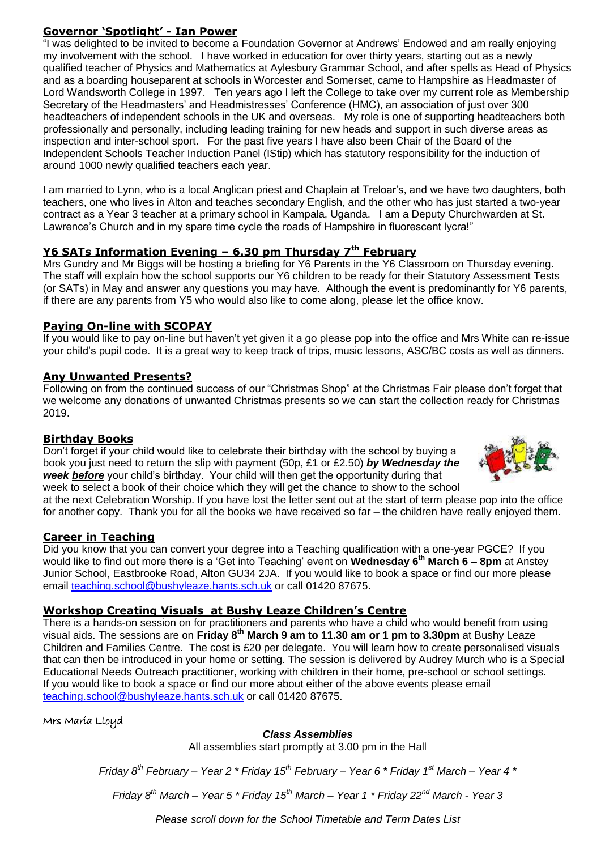### **Governor 'Spotlight' - Ian Power**

"I was delighted to be invited to become a Foundation Governor at Andrews' Endowed and am really enjoying my involvement with the school. I have worked in education for over thirty years, starting out as a newly qualified teacher of Physics and Mathematics at Aylesbury Grammar School, and after spells as Head of Physics and as a boarding houseparent at schools in Worcester and Somerset, came to Hampshire as Headmaster of Lord Wandsworth College in 1997. Ten years ago I left the College to take over my current role as Membership Secretary of the Headmasters' and Headmistresses' Conference (HMC), an association of just over 300 headteachers of independent schools in the UK and overseas. My role is one of supporting headteachers both professionally and personally, including leading training for new heads and support in such diverse areas as inspection and inter-school sport. For the past five years I have also been Chair of the Board of the Independent Schools Teacher Induction Panel (IStip) which has statutory responsibility for the induction of around 1000 newly qualified teachers each year.

I am married to Lynn, who is a local Anglican priest and Chaplain at Treloar's, and we have two daughters, both teachers, one who lives in Alton and teaches secondary English, and the other who has just started a two-year contract as a Year 3 teacher at a primary school in Kampala, Uganda. I am a Deputy Churchwarden at St. Lawrence's Church and in my spare time cycle the roads of Hampshire in fluorescent lycra!"

### **Y6 SATs Information Evening – 6.30 pm Thursday 7th February**

Mrs Gundry and Mr Biggs will be hosting a briefing for Y6 Parents in the Y6 Classroom on Thursday evening. The staff will explain how the school supports our Y6 children to be ready for their Statutory Assessment Tests (or SATs) in May and answer any questions you may have. Although the event is predominantly for Y6 parents, if there are any parents from Y5 who would also like to come along, please let the office know.

#### **Paying On-line with SCOPAY**

If you would like to pay on-line but haven't yet given it a go please pop into the office and Mrs White can re-issue your child's pupil code. It is a great way to keep track of trips, music lessons, ASC/BC costs as well as dinners.

#### **Any Unwanted Presents?**

Following on from the continued success of our "Christmas Shop" at the Christmas Fair please don't forget that we welcome any donations of unwanted Christmas presents so we can start the collection ready for Christmas 2019.

#### **Birthday Books**

D*o*n't forget if your child would like to celebrate their birthday with the school by buying a book you just need to return the slip with payment (50p, £1 or £2.50) *by Wednesday the week before* your child's birthday. Your child will then get the opportunity during that week to select a book of their choice which they will get the chance to show to the school

at the next Celebration Worship. If you have lost the letter sent out at the start of term please pop into the office for another copy. Thank you for all the books we have received so far – the children have really enjoyed them.

#### **Career in Teaching**

Did you know that you can convert your degree into a Teaching qualification with a one-year PGCE? If you would like to find out more there is a 'Get into Teaching' event on **Wednesday 6th March 6 – 8pm** at Anstey Junior School, Eastbrooke Road, Alton GU34 2JA. If you would like to book a space or find our more please email [teaching.school@bushyleaze.hants.sch.uk](mailto:teaching.school@bushyleaze.hants.sch.uk) or call 01420 87675.

#### **Workshop Creating Visuals at Bushy Leaze Children's Centre**

There is a hands-on session on for practitioners and parents who have a child who would benefit from using visual aids. The sessions are on **Friday 8th March 9 am to 11.30 am or 1 pm to 3.30pm** at Bushy Leaze Children and Families Centre. The cost is £20 per delegate. You will learn how to create personalised visuals that can then be introduced in your home or setting. The session is delivered by Audrey Murch who is a Special Educational Needs Outreach practitioner, working with children in their home, pre-school or school settings. If you would like to book a space or find our more about either of the above events please email [teaching.school@bushyleaze.hants.sch.uk](mailto:teaching.school@bushyleaze.hants.sch.uk) or call 01420 87675.

Mrs Maria Lloyd

#### *Class Assemblies*

All assemblies start promptly at 3.00 pm in the Hall

*Friday 8th February – Year 2 \* Friday 15th February – Year 6 \* Friday 1st March – Year 4 \** 

*Friday 8th March – Year 5 \* Friday 15th March – Year 1 \* Friday 22nd March - Year 3*

*Please scroll down for the School Timetable and Term Dates List*